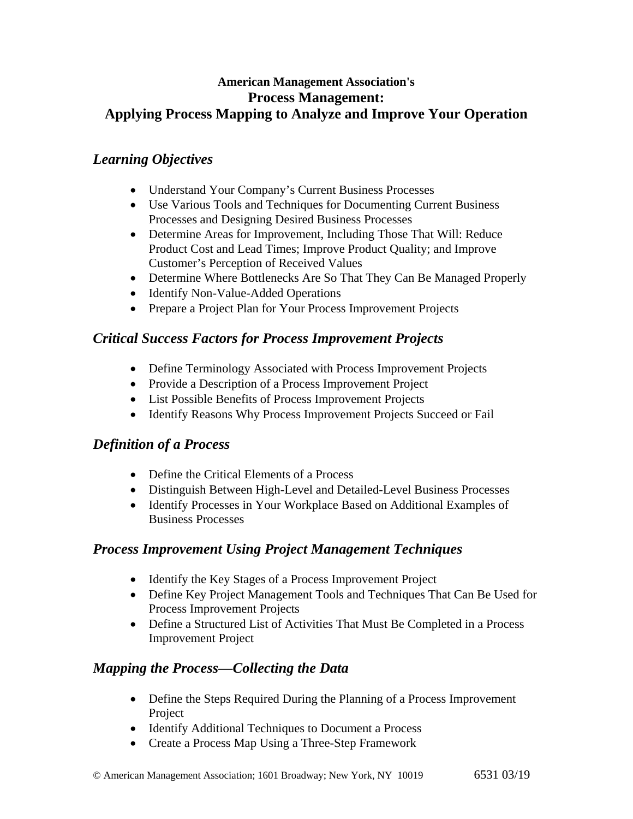### **American Management Association's Process Management: Applying Process Mapping to Analyze and Improve Your Operation**

## *Learning Objectives*

- Understand Your Company's Current Business Processes
- Use Various Tools and Techniques for Documenting Current Business Processes and Designing Desired Business Processes
- Determine Areas for Improvement, Including Those That Will: Reduce Product Cost and Lead Times; Improve Product Quality; and Improve Customer's Perception of Received Values
- Determine Where Bottlenecks Are So That They Can Be Managed Properly
- Identify Non-Value-Added Operations
- Prepare a Project Plan for Your Process Improvement Projects

# *Critical Success Factors for Process Improvement Projects*

- Define Terminology Associated with Process Improvement Projects
- Provide a Description of a Process Improvement Project
- List Possible Benefits of Process Improvement Projects
- Identify Reasons Why Process Improvement Projects Succeed or Fail

# *Definition of a Process*

- Define the Critical Elements of a Process
- Distinguish Between High-Level and Detailed-Level Business Processes
- Identify Processes in Your Workplace Based on Additional Examples of Business Processes

#### *Process Improvement Using Project Management Techniques*

- Identify the Key Stages of a Process Improvement Project
- Define Key Project Management Tools and Techniques That Can Be Used for Process Improvement Projects
- Define a Structured List of Activities That Must Be Completed in a Process Improvement Project

# *Mapping the Process—Collecting the Data*

- Define the Steps Required During the Planning of a Process Improvement Project
- Identify Additional Techniques to Document a Process
- Create a Process Map Using a Three-Step Framework